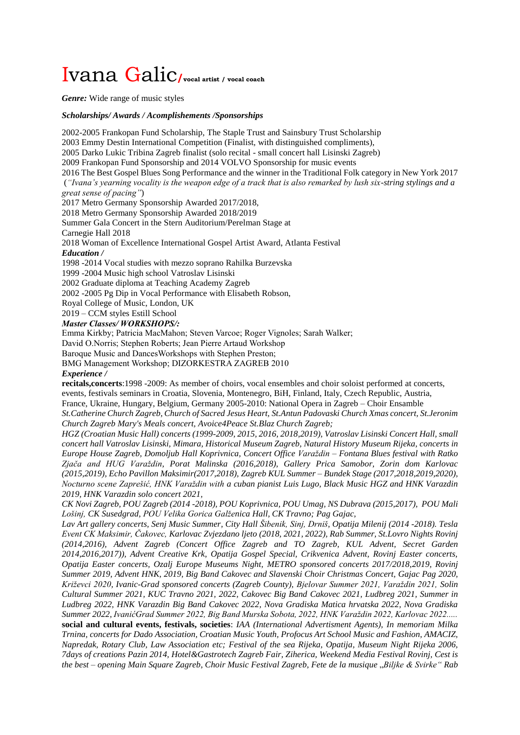## Ivana Galic**/vocal artist / vocal coach**

*Genre:* Wide range of music styles

## *Scholarships/ Awards / Acomplishements /Sponsorships*

2002-2005 Frankopan Fund Scholarship, The Staple Trust and Sainsbury Trust Scholarship 2003 Emmy Destin International Competition (Finalist, with distinguished compliments), 2005 Darko Lukic Tribina Zagreb finalist (solo recital - small concert hall Lisinski Zagreb) 2009 Frankopan Fund Sponsorship and 2014 VOLVO Sponsorship for music events 2016 The Best Gospel Blues Song Performance and the winner in the Traditional Folk category in New York 2017 (*"Ivana's yearning vocality is the weapon edge of a track that is also remarked by lush six-string stylings and a great sense of pacing"*) 2017 Metro Germany Sponsorship Awarded 2017/2018, 2018 Metro Germany Sponsorship Awarded 2018/2019 Summer Gala Concert in the Stern Auditorium/Perelman Stage at Carnegie Hall 2018 2018 Woman of Excellence International Gospel Artist Award, Atlanta Festival *Education /* 1998 -2014 Vocal studies with mezzo soprano Rahilka Burzevska 1999 -2004 Music high school Vatroslav Lisinski 2002 Graduate diploma at Teaching Academy Zagreb 2002 -2005 Pg Dip in Vocal Performance with Elisabeth Robson, Royal College of Music, London, UK 2019 – CCM styles Estill School *Master Classes/ WORKSHOPS/:* Emma Kirkby; Patricia MacMahon; Steven Varcoe; Roger Vignoles; Sarah Walker; David O.Norris; Stephen Roberts; Jean Pierre Artaud Workshop Baroque Music and DancesWorkshops with Stephen Preston; BMG Management Workshop; DIZORKESTRA ZAGREB 2010 *Experience /* **recitals,concerts**:1998 -2009: As member of choirs, vocal ensembles and choir soloist performed at concerts, events, festivals seminars in Croatia, Slovenia, Montenegro, BiH, Finland, Italy, Czech Republic, Austria, France, Ukraine, Hungary, Belgium, Germany 2005-2010: National Opera in Zagreb – Choir Ensamble *St.Catherine Church Zagreb, Church of Sacred Jesus Heart, St.Antun Padovaski Church Xmas concert, St.Jeronim Church Zagreb Mary's Meals concert, Avoice4Peace St.Blaz Church Zagreb; HGZ (Croatian Music Hall) concerts (1999-2009, 2015, 2016, 2018,2019), Vatroslav Lisinski Concert Hall, small concert hall Vatroslav Lisinski, Mimara, Historical Museum Zagreb, Natural History Museum Rijeka, concerts in Europe House Zagreb, Domoljub Hall Koprivnica, Concert Office Varaždin – Fontana Blues festival with Ratko Zjača and HUG Varaždin, Porat Malinska (2016,2018), Gallery Prica Samobor, Zorin dom Karlovac (2015,2019), Echo Pavillon Maksimir(2017,2018), Zagreb KUL Summer – Bundek Stage (2017,2018,2019,2020), Nocturno scene Zaprešić, HNK Varaždin with a cuban pianist Luis Lugo, Black Music HGZ and HNK Varazdin 2019, HNK Varazdin solo concert 2021, CK Novi Zagreb, POU Zagreb (2014 -2018), POU Koprivnica, POU Umag, NS Dubrava (2015,2017), POU Mali Lošinj, CK Susedgrad, POU Velika Gorica Galženica Hall, CK Travno; Pag Gajac, Lav Art gallery concerts, Senj Music Summer, City Hall Šibenik, Sinj, Drniš, Opatija Milenij (2014 -2018). Tesla Event CK Maksimir, Čakovec, Karlovac Zvjezdano ljeto (2018, 2021, 2022), Rab Summer, St.Lovro Nights Rovinj (2014,2016), Advent Zagreb (Concert Office Zagreb and TO Zagreb, KUL Advent, Secret Garden 2014,2016,2017)), Advent Creative Krk, Opatija Gospel Special, Crikvenica Advent, Rovinj Easter concerts, Opatija Easter concerts, Ozalj Europe Museums Night, METRO sponsored concerts 2017/2018,2019, Rovinj* 

*Summer 2019, Advent HNK, 2019, Big Band Cakovec and Slavenski Choir Christmas Concert, Gajac Pag 2020, Križevci 2020, Ivanic-Grad sponsored concerts (Zagreb County), Bjelovar Summer 2021, Varaždin 2021, Solin Cultural Summer 2021, KUC Travno 2021, 2022, Cakovec Big Band Cakovec 2021, Ludbreg 2021, Summer in Ludbreg 2022, HNK Varazdin Big Band Cakovec 2022, Nova Gradiska Matica hrvatska 2022, Nova Gradiska Summer 2022, IvanićGrad Summer 2022, Big Band Murska Sobota, 2022, HNK Varaždin 2022, Karlovac 2022.....* **social and cultural events, festivals, societies**: *IAA (International Advertisment Agents), In memoriam Milka* 

*Trnina, concerts for Dado Association, Croatian Music Youth, Profocus Art School Music and Fashion, AMACIZ, Napredak, Rotary Club, Law Association etc; Festival of the sea Rijeka, Opatija, Museum Night Rijeka 2006, 7days of creations Pazin 2014, Hotel&Gastrotech Zagreb Fair, Ziherica, Weekend Media Festival Rovinj, Cest is the best – opening Main Square Zagreb*, *Choir Music Festival Zagreb, Fete de la musique* "*Biljke & Svirke" Rab*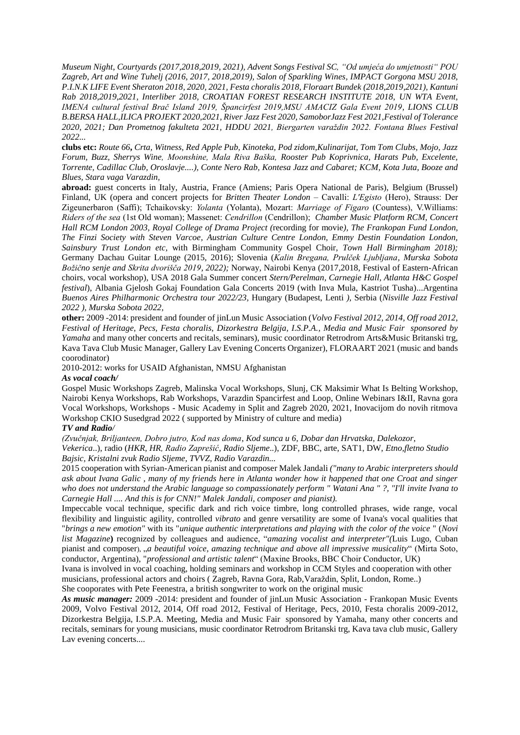*Museum Night*, *Courtyards (2017,2018,2019, 2021), Advent Songs Festival SC, "Od umjeća do umjetnosti" POU Zagreb, Art and Wine Tuhelj (2016, 2017, 2018,2019), Salon of Sparkling Wines, IMPACT Gorgona MSU 2018, P.I.N.K LIFE Event Sheraton 2018, 2020, 2021, Festa choralis 2018, Floraart Bundek (2018,2019,2021), Kantuni Rab 2018,2019,2021, Interliber 2018, CROATIAN FOREST RESEARCH INSTITUTE 2018, UN WTA Event, IMENA cultural festival Brač Island 2019, Špancirfest 2019,MSU AMACIZ Gala Event 2019, LIONS CLUB B.BERSA HALL,ILICA PROJEKT 2020,2021, River Jazz Fest 2020, SamoborJazz Fest 2021,Festival of Tolerance 2020, 2021; Dan Prometnog fakulteta 2021, HDDU 2021, Biergarten varaždin 2022. Fontana Blues Festival 2022...*

**clubs etc:** *Route 66***,** *Crta, Witness, Red Apple Pub, Kinoteka, Pod zidom,Kulinarijat, Tom Tom Clubs, Mojo, Jazz Forum, Buzz, Sherrys Wine, Moonshine, Mala Riva Baška, Rooster Pub Koprivnica, Harats Pub, Excelente, Torrente, Cadillac Club, Oroslavje....), Conte Nero Rab, Kontesa Jazz and Cabaret; KCM, Kota Juta, Booze and Blues, Stara vaga Varazdin,* 

**abroad:** guest concerts in Italy, Austria, France (Amiens; Paris Opera National de Paris), Belgium (Brussel) Finland, UK (opera and concert projects for *Britten Theater London –* Cavalli: *L'Egisto* (Hero), Strauss: Der Zigeunerbaron (Saffi); Tchaikovsky: *Yolanta* (Yolanta), Mozart: *Marriage of Figaro* (Countess), V.Williams: *Riders of the sea* (1st Old woman); Massenet: *Cendrillon* (Cendrillon); *Chamber Music Platform RCM, Concert Hall RCM London 2003, Royal College of Drama Project (*recording for movie*), The Frankopan Fund London, The Finzi Society with Steven Varcoe, Austrian Culture Centre London, Emmy Destin Foundation London, Sainsbury Trust London etc,* with Birmingham Community Gospel Choir, *Town Hall Birmingham 2018);*  Germany Dachau Guitar Lounge (2015, 2016); Slovenia (*Kalin Bregana, Prulček Ljubljana, Murska Sobota Božično senje and Skrita dvorišča 2019, 2022);* Norway, Nairobi Kenya (2017,2018, Festival of Eastern-African choirs, vocal workshop), USA 2018 Gala Summer concert *Stern/Perelman, Carnegie Hall, Atlanta H&C Gospel festival*), Albania Gjelosh Gokaj Foundation Gala Concerts 2019 (with Inva Mula, Kastriot Tusha)...Argentina *Buenos Aires Philharmonic Orchestra tour 2022/23,* Hungary (Budapest, Lenti *),* Serbia (*Nisville Jazz Festival 2022 ), Murska Sobota 2022,* 

**other:** 2009 -2014: president and founder of jinLun Music Association (*Volvo Festival 2012, 2014, Off road 2012, Festival of Heritage, Pecs, Festa choralis, Dizorkestra Belgija, I.S.P.A., Media and Music Fair sponsored by Yamaha* and many other concerts and recitals, seminars), music coordinator Retrodrom Arts&Music Britanski trg, Kava Tava Club Music Manager, Gallery Lav Evening Concerts Organizer), FLORAART 2021 (music and bands coorodinator)

2010-2012: works for USAID Afghanistan, NMSU Afghanistan

## *As vocal coach/*

Gospel Music Workshops Zagreb, Malinska Vocal Workshops, Slunj, CK Maksimir What Is Belting Workshop, Nairobi Kenya Workshops, Rab Workshops, Varazdin Spancirfest and Loop, Online Webinars I&II, Ravna gora Vocal Workshops, Workshops - Music Academy in Split and Zagreb 2020, 2021, Inovacijom do novih ritmova Workshop CKIO Susedgrad 2022 ( supported by Ministry of culture and media)

## *TV and Radio/*

*(Zvučnjak, Briljanteen, Dobro jutro, Kod nas doma*, *Kod sunca u 6, Dobar dan Hrvatska, Dalekozor*, *Vekerica*..), radio (*HKR, HR, Radio Zaprešić, Radio Sljeme*..), ZDF, BBC, arte, SAT1, DW, *Etno,fletno Studio Bajsic, Kristalni zvuk Radio Sljeme, TVVZ, Radio Varazdin...*

2015 cooperation with Syrian-American pianist and composer Malek Jandali *("many to Arabic interpreters should ask about Ivana Galic , many of my friends here in Atlanta wonder how it happened that one Croat and singer who does not understand the Arabic language so compassionately perform " Watani Ana " ?, "I'll invite Ivana to Carnegie Hall .... And this is for CNN!" Malek Jandali, composer and pianist).*

Impeccable vocal technique, specific dark and rich voice timbre, long controlled phrases, wide range, vocal flexibility and linguistic agility, controlled *vibrato* and genre versatility are some of Ivana's vocal qualities that "*brings a new emotion"* with its "*unique authentic interpretations and playing with the color of the voice* " (*Novi list Magazine***)** recognized by colleagues and audience, "*amazing vocalist and interpreter"(*Luis Lugo, Cuban pianist and composer), "*a beautiful voice, amazing technique and above all impressive musicality*" (Mirta Soto, conductor, Argentina), "*professional and artistic talent*" (Maxine Brooks, BBC Choir Conductor, UK)

Ivana is involved in vocal coaching, holding seminars and workshop in CCM Styles and cooperation with other musicians, professional actors and choirs ( Zagreb, Ravna Gora, Rab,Varaždin, Split, London, Rome..) She cooporates with Pete Feenestra, a british songwriter to work on the original music

*As music manager:* 2009 -2014: president and founder of jinLun Music Association - Frankopan Music Events 2009, Volvo Festival 2012, 2014, Off road 2012, Festival of Heritage, Pecs, 2010, Festa choralis 2009-2012, Dizorkestra Belgija, I.S.P.A. Meeting, Media and Music Fair sponsored by Yamaha, many other concerts and recitals, seminars for young musicians, music coordinator Retrodrom Britanski trg, Kava tava club music, Gallery Lav evening concerts....